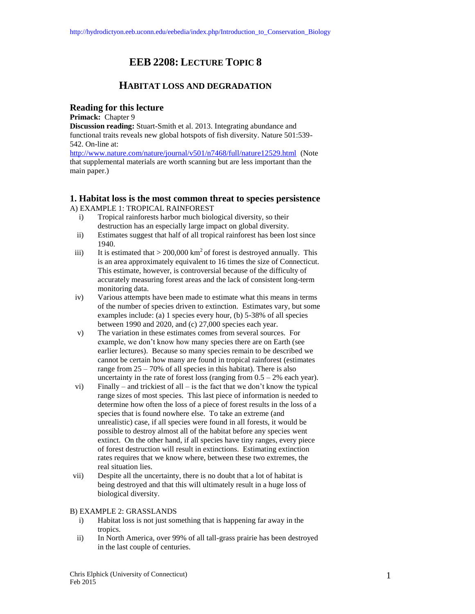# **EEB 2208: LECTURE TOPIC 8**

## **HABITAT LOSS AND DEGRADATION**

## **Reading for this lecture**

**Primack:** Chapter 9

**Discussion reading:** Stuart-Smith et al. 2013. Integrating abundance and functional traits reveals new global hotspots of fish diversity. Nature 501:539- 542. On-line at:

<http://www.nature.com/nature/journal/v501/n7468/full/nature12529.html>(Note that supplemental materials are worth scanning but are less important than the main paper.)

## **1. Habitat loss is the most common threat to species persistence** A) EXAMPLE 1: TROPICAL RAINFOREST

- i) Tropical rainforests harbor much biological diversity, so their destruction has an especially large impact on global diversity.
- ii) Estimates suggest that half of all tropical rainforest has been lost since 1940.
- iii) It is estimated that  $> 200,000$  km<sup>2</sup> of forest is destroyed annually. This is an area approximately equivalent to 16 times the size of Connecticut. This estimate, however, is controversial because of the difficulty of accurately measuring forest areas and the lack of consistent long-term monitoring data.
- iv) Various attempts have been made to estimate what this means in terms of the number of species driven to extinction. Estimates vary, but some examples include: (a) 1 species every hour, (b) 5-38% of all species between 1990 and 2020, and (c) 27,000 species each year.
- v) The variation in these estimates comes from several sources. For example, we don't know how many species there are on Earth (see earlier lectures). Because so many species remain to be described we cannot be certain how many are found in tropical rainforest (estimates range from  $25 - 70\%$  of all species in this habitat). There is also uncertainty in the rate of forest loss (ranging from  $0.5 - 2%$  each year).
- vi) Finally and trickiest of all is the fact that we don't know the typical range sizes of most species. This last piece of information is needed to determine how often the loss of a piece of forest results in the loss of a species that is found nowhere else. To take an extreme (and unrealistic) case, if all species were found in all forests, it would be possible to destroy almost all of the habitat before any species went extinct. On the other hand, if all species have tiny ranges, every piece of forest destruction will result in extinctions. Estimating extinction rates requires that we know where, between these two extremes, the real situation lies.
- vii) Despite all the uncertainty, there is no doubt that a lot of habitat is being destroyed and that this will ultimately result in a huge loss of biological diversity.

B) EXAMPLE 2: GRASSLANDS

- i) Habitat loss is not just something that is happening far away in the tropics.
- ii) In North America, over 99% of all tall-grass prairie has been destroyed in the last couple of centuries.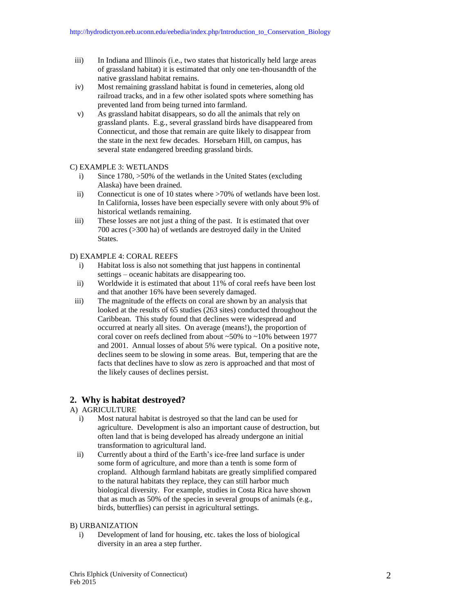- iii) In Indiana and Illinois (i.e., two states that historically held large areas of grassland habitat) it is estimated that only one ten-thousandth of the native grassland habitat remains.
- iv) Most remaining grassland habitat is found in cemeteries, along old railroad tracks, and in a few other isolated spots where something has prevented land from being turned into farmland.
- v) As grassland habitat disappears, so do all the animals that rely on grassland plants. E.g., several grassland birds have disappeared from Connecticut, and those that remain are quite likely to disappear from the state in the next few decades. Horsebarn Hill, on campus, has several state endangered breeding grassland birds.

### C) EXAMPLE 3: WETLANDS

- i) Since 1780, >50% of the wetlands in the United States (excluding Alaska) have been drained.
- ii) Connecticut is one of 10 states where >70% of wetlands have been lost. In California, losses have been especially severe with only about 9% of historical wetlands remaining.
- iii) These losses are not just a thing of the past. It is estimated that over 700 acres (>300 ha) of wetlands are destroyed daily in the United States.

### D) EXAMPLE 4: CORAL REEFS

- i) Habitat loss is also not something that just happens in continental settings – oceanic habitats are disappearing too.
- ii) Worldwide it is estimated that about 11% of coral reefs have been lost and that another 16% have been severely damaged.
- iii) The magnitude of the effects on coral are shown by an analysis that looked at the results of 65 studies (263 sites) conducted throughout the Caribbean. This study found that declines were widespread and occurred at nearly all sites. On average (means!), the proportion of coral cover on reefs declined from about ~50% to ~10% between 1977 and 2001. Annual losses of about 5% were typical. On a positive note, declines seem to be slowing in some areas. But, tempering that are the facts that declines have to slow as zero is approached and that most of the likely causes of declines persist.

## **2. Why is habitat destroyed?**

## A) AGRICULTURE

- i) Most natural habitat is destroyed so that the land can be used for agriculture. Development is also an important cause of destruction, but often land that is being developed has already undergone an initial transformation to agricultural land.
- ii) Currently about a third of the Earth's ice-free land surface is under some form of agriculture, and more than a tenth is some form of cropland. Although farmland habitats are greatly simplified compared to the natural habitats they replace, they can still harbor much biological diversity. For example, studies in Costa Rica have shown that as much as 50% of the species in several groups of animals (e.g., birds, butterflies) can persist in agricultural settings.

#### B) URBANIZATION

i) Development of land for housing, etc. takes the loss of biological diversity in an area a step further.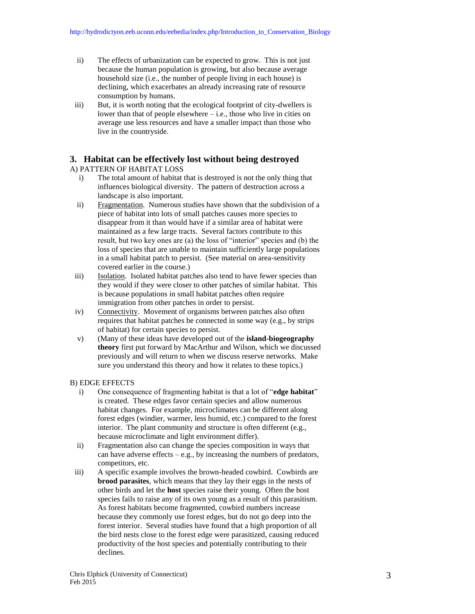- ii) The effects of urbanization can be expected to grow. This is not just because the human population is growing, but also because average household size (i.e., the number of people living in each house) is declining, which exacerbates an already increasing rate of resource consumption by humans.
- iii) But, it is worth noting that the ecological footprint of city-dwellers is lower than that of people elsewhere  $-$  i.e., those who live in cities on average use less resources and have a smaller impact than those who live in the countryside.

## **3. Habitat can be effectively lost without being destroyed**

A) PATTERN OF HABITAT LOSS

- i) The total amount of habitat that is destroyed is not the only thing that influences biological diversity. The pattern of destruction across a landscape is also important.
- ii) Fragmentation. Numerous studies have shown that the subdivision of a piece of habitat into lots of small patches causes more species to disappear from it than would have if a similar area of habitat were maintained as a few large tracts. Several factors contribute to this result, but two key ones are (a) the loss of "interior" species and (b) the loss of species that are unable to maintain sufficiently large populations in a small habitat patch to persist. (See material on area-sensitivity covered earlier in the course.)
- iii) Isolation. Isolated habitat patches also tend to have fewer species than they would if they were closer to other patches of similar habitat. This is because populations in small habitat patches often require immigration from other patches in order to persist.
- iv) Connectivity. Movement of organisms between patches also often requires that habitat patches be connected in some way (e.g., by strips of habitat) for certain species to persist.
- v) (Many of these ideas have developed out of the **island-biogeography theory** first put forward by MacArthur and Wilson, which we discussed previously and will return to when we discuss reserve networks. Make sure you understand this theory and how it relates to these topics.)

## B) EDGE EFFECTS

- i) One consequence of fragmenting habitat is that a lot of "**edge habitat**" is created. These edges favor certain species and allow numerous habitat changes. For example, microclimates can be different along forest edges (windier, warmer, less humid, etc.) compared to the forest interior. The plant community and structure is often different (e.g., because microclimate and light environment differ).
- ii) Fragmentation also can change the species composition in ways that can have adverse effects  $-e.g.,$  by increasing the numbers of predators, competitors, etc.
- iii) A specific example involves the brown-headed cowbird. Cowbirds are **brood parasites**, which means that they lay their eggs in the nests of other birds and let the **host** species raise their young. Often the host species fails to raise any of its own young as a result of this parasitism. As forest habitats become fragmented, cowbird numbers increase because they commonly use forest edges, but do not go deep into the forest interior. Several studies have found that a high proportion of all the bird nests close to the forest edge were parasitized, causing reduced productivity of the host species and potentially contributing to their declines.